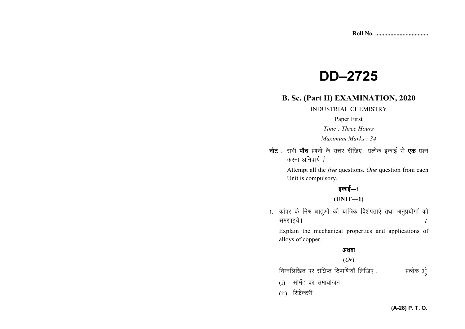# **DD-2725**

### **B. Sc. (Part II) EXAMINATION, 2020**

#### **INDUSTRIAL CHEMISTRY**

#### Paper First

Time: Three Hours

Maximum Marks: 34

नोट: सभी पाँच प्रश्नों के उत्तर दीजिए। प्रत्येक इकाई से एक प्रश्न करना अनिवार्य है।

> Attempt all the *five* questions. One question from each Unit is compulsory.

## इकाई—1

 $(UNIT-1)$ 

1. कॉपर के मिश्र धात्ओं की यांत्रिक विशेषताएँ तथा अनुप्रयोगों को समझाइये।  $\overline{7}$ 

Explain the mechanical properties and applications of alloys of copper.

#### अथवा

#### $(Or)$

निम्नलिखित पर संक्षिप्त टिप्पणियाँ लिखिए: प्रत्येक 3 $\frac{1}{3}$ 

- सीमेंट का समायोजन  $(i)$
- (ii) रिफ्रेक्टरी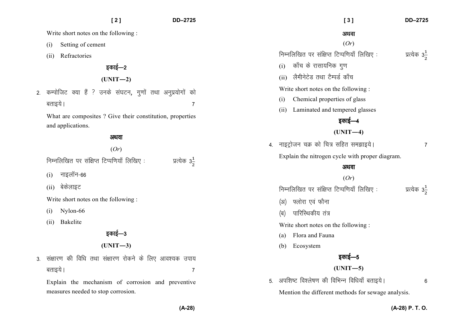|    | [2]                                                       | DD-2725                  | DD-2725<br>[3]                                                        |   |
|----|-----------------------------------------------------------|--------------------------|-----------------------------------------------------------------------|---|
|    | Write short notes on the following:                       |                          | अथवा                                                                  |   |
|    | Setting of cement<br>(i)                                  |                          | (Or)                                                                  |   |
|    | Refractories<br>(ii)                                      |                          | निम्नलिखित पर संक्षिप्त टिप्पणियाँ लिखिए:<br>प्रत्येक 3 $\frac{1}{2}$ |   |
|    | इकाई—2                                                    |                          | कॉच के रासायनिक गुण<br>(i)                                            |   |
|    | $(UNIT-2)$                                                |                          | लैमीनेटेड तथा टैम्पर्ड काँच<br>(ii)                                   |   |
| 2. | कम्पोजिट क्या हैं ? उनके संघटन, गुणों तथा अनुप्रयोगों को  |                          | Write short notes on the following:                                   |   |
|    | बताइये ।                                                  | $\overline{7}$           | Chemical properties of glass<br>(i)                                   |   |
|    | What are composites ? Give their constitution, properties |                          | Laminated and tempered glasses<br>(ii)                                |   |
|    | and applications.                                         |                          | इकाई—4                                                                |   |
|    | अथवा                                                      |                          | $(UNIT-4)$                                                            |   |
|    |                                                           | (Or)                     | 4. नाइट्रोजन चक्र को चित्र सहित समझाइये।                              | 7 |
|    | निम्नलिखित पर संक्षिप्त टिप्पणियाँ लिखिए:                 | प्रत्येक 3 $\frac{1}{2}$ | Explain the nitrogen cycle with proper diagram.                       |   |
|    |                                                           |                          | अथवा                                                                  |   |
|    | नाइलॉन-66<br>(i)                                          |                          | (Or)                                                                  |   |
|    | बेकेलाइट<br>(ii)                                          |                          | निम्नलिखित पर संक्षिप्त टिप्पणियाँ लिखिए:<br>प्रत्येक 3 $\frac{1}{2}$ |   |
|    | Write short notes on the following:                       |                          | फ्लोरा एवं फौना<br>(3I)                                               |   |
|    | Nylon-66<br>(i)                                           |                          | पारिस्थिकीय तंत्र<br>(ब)                                              |   |
|    | Bakelite<br>(ii)                                          |                          | Write short notes on the following :                                  |   |
|    | इकाई—3                                                    |                          | Flora and Fauna<br>(a)                                                |   |
|    | $(UNIT-3)$                                                |                          | Ecosystem<br>(b)                                                      |   |
| 3. | संक्षारण की विधि तथा संक्षारण रोकने के लिए आवश्यक उपाय    |                          |                                                                       |   |
|    | बताइये ।                                                  | $\overline{7}$           | $(UNIT-5)$                                                            |   |
|    | Explain the mechanism of corrosion and preventive         |                          | अपशिष्ट विश्लेषण की विभिन्न विधियाँ बताइये।<br>5.                     | 6 |
|    | measures needed to stop corrosion.                        |                          | Mention the different methods for sewage analysis.                    |   |
|    |                                                           | $(A-28)$                 | (A-28) P. T. O.                                                       |   |